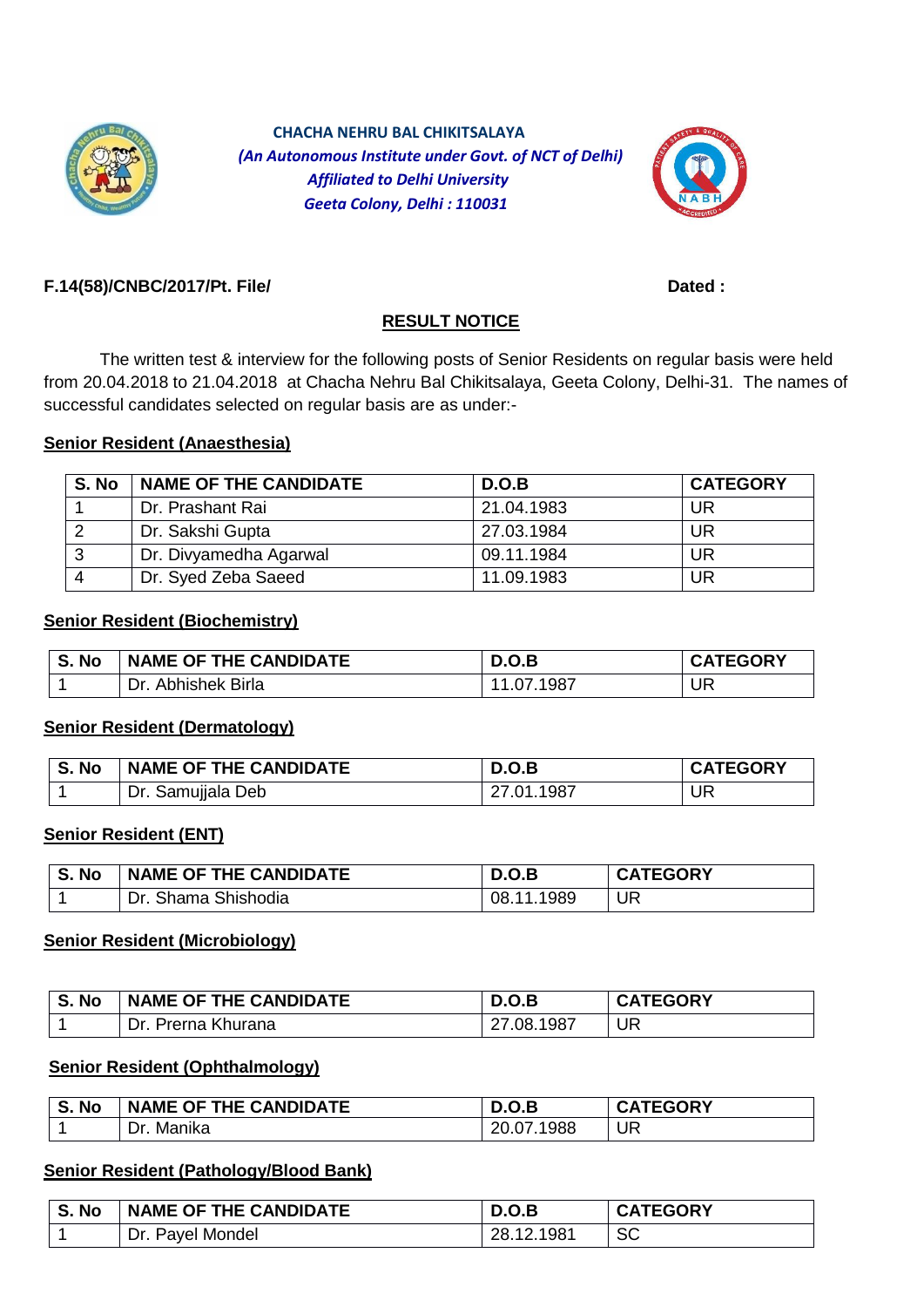

 **CHACHA NEHRU BAL CHIKITSALAYA**  *(An Autonomous Institute under Govt. of NCT of Delhi) Affiliated to Delhi University Geeta Colony, Delhi : 110031*



### **F.14(58)/CNBC/2017/Pt. File/ Dated :**

## **RESULT NOTICE**

The written test & interview for the following posts of Senior Residents on regular basis were held from 20.04.2018 to 21.04.2018 at Chacha Nehru Bal Chikitsalaya, Geeta Colony, Delhi-31. The names of successful candidates selected on regular basis are as under:-

### **Senior Resident (Anaesthesia)**

| S. No        | <b>NAME OF THE CANDIDATE</b> | D.O.B      | <b>CATEGORY</b> |
|--------------|------------------------------|------------|-----------------|
|              | Dr. Prashant Rai             | 21.04.1983 | UR              |
| $\sim$       | Dr. Sakshi Gupta             | 27.03.1984 | UR              |
| $\mathbf{r}$ | Dr. Divyamedha Agarwal       | 09.11.1984 | UR              |
|              | Dr. Syed Zeba Saeed          | 11.09.1983 | <b>UR</b>       |

#### **Senior Resident (Biochemistry)**

| S. No | NAME OF THE CANDIDATE | D.O.B        | <b>CATEGORY</b> |
|-------|-----------------------|--------------|-----------------|
|       | Abhishek Birla<br>Dr. | 1987<br>.07. | <b>UR</b>       |

### **Senior Resident (Dermatology)**

| S. No | NAME OF THE CANDIDATE | D.O.B      | <b>CATEGORY</b> |
|-------|-----------------------|------------|-----------------|
|       | Dr. Samujjala Deb     | 27.01.1987 | UR              |

### **Senior Resident (ENT)**

| S. No | <b>NAME OF THE CANDIDATE</b> | D.O.B          | <b>CATEGORY</b> |
|-------|------------------------------|----------------|-----------------|
|       | Shama Shishodia<br>Dr.       | 1989<br>08.11. | UR              |

#### **Senior Resident (Microbiology)**

| S. No | NAME OF THE CANDIDATE | D.O.B      | <b>CATEGORY</b> |
|-------|-----------------------|------------|-----------------|
|       | Dr. Prerna Khurana    | 27.08.1987 | UR              |

### **Senior Resident (Ophthalmology)**

| S. No | NAME OF THE CANDIDATE | D.O.B      | <b>CATEGORY</b> |
|-------|-----------------------|------------|-----------------|
|       | Manika<br>Dr.         | 20.07.1988 | UR              |

#### **Senior Resident (Pathology/Blood Bank)**

| S. No | NAME OF THE CANDIDATE  | D.O.B           | <b>CATEGORY</b> |
|-------|------------------------|-----------------|-----------------|
|       | ∴Dr. ⊾<br>Payel Mondel | .1981<br>28.12. | <b>SC</b>       |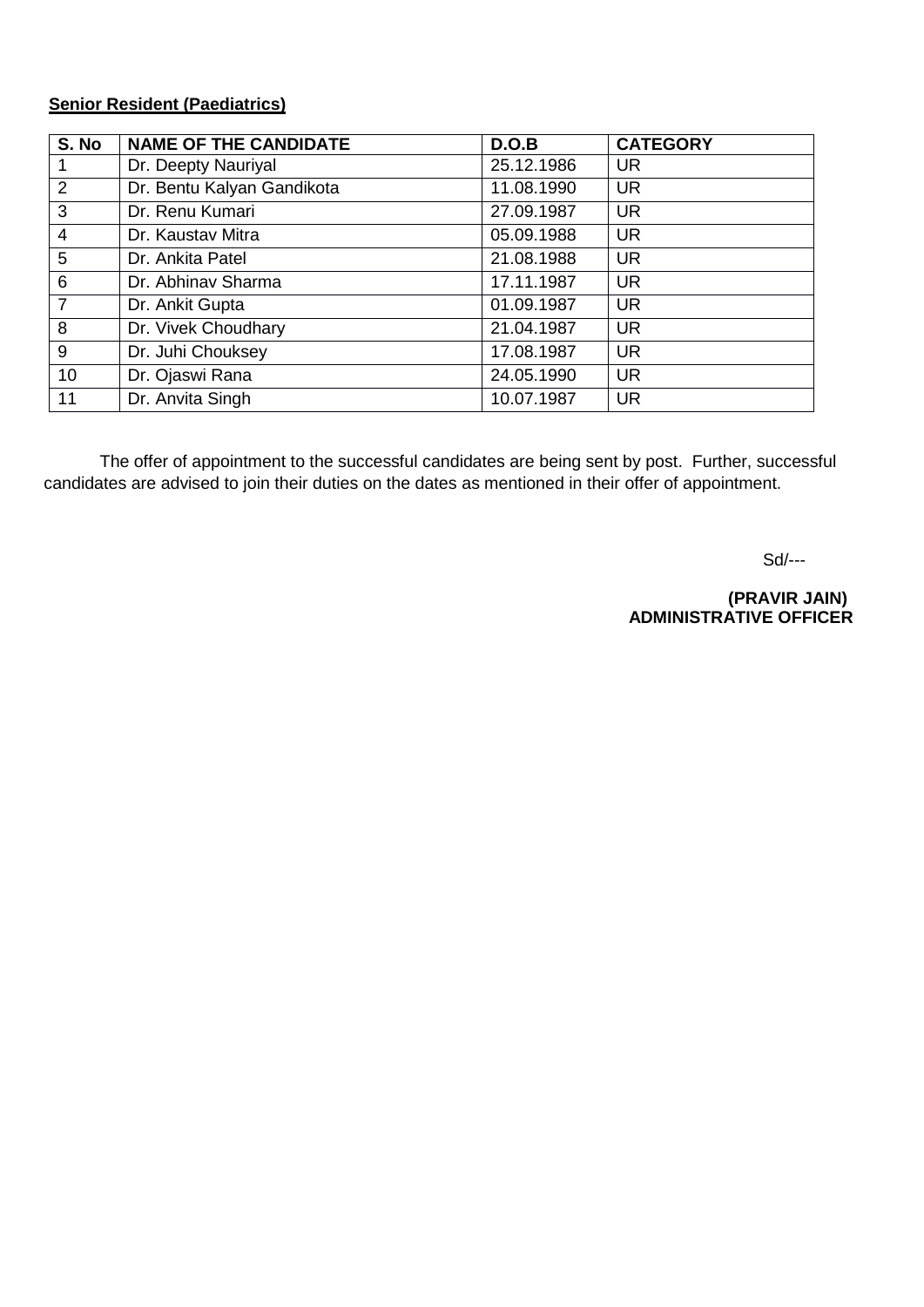## **Senior Resident (Paediatrics)**

| S. No          | <b>NAME OF THE CANDIDATE</b> | D.O.B      | <b>CATEGORY</b> |
|----------------|------------------------------|------------|-----------------|
|                | Dr. Deepty Nauriyal          | 25.12.1986 | <b>UR</b>       |
| $\overline{2}$ | Dr. Bentu Kalyan Gandikota   | 11.08.1990 | <b>UR</b>       |
| 3              | Dr. Renu Kumari              | 27.09.1987 | <b>UR</b>       |
| $\overline{4}$ | Dr. Kaustav Mitra            | 05.09.1988 | <b>UR</b>       |
| 5              | Dr. Ankita Patel             | 21.08.1988 | <b>UR</b>       |
| 6              | Dr. Abhinay Sharma           | 17.11.1987 | <b>UR</b>       |
| $\overline{7}$ | Dr. Ankit Gupta              | 01.09.1987 | <b>UR</b>       |
| 8              | Dr. Vivek Choudhary          | 21.04.1987 | <b>UR</b>       |
| 9              | Dr. Juhi Chouksey            | 17.08.1987 | <b>UR</b>       |
| 10             | Dr. Ojaswi Rana              | 24.05.1990 | <b>UR</b>       |
| 11             | Dr. Anvita Singh             | 10.07.1987 | <b>UR</b>       |

The offer of appointment to the successful candidates are being sent by post. Further, successful candidates are advised to join their duties on the dates as mentioned in their offer of appointment.

Sd/---

 **(PRAVIR JAIN) ADMINISTRATIVE OFFICER**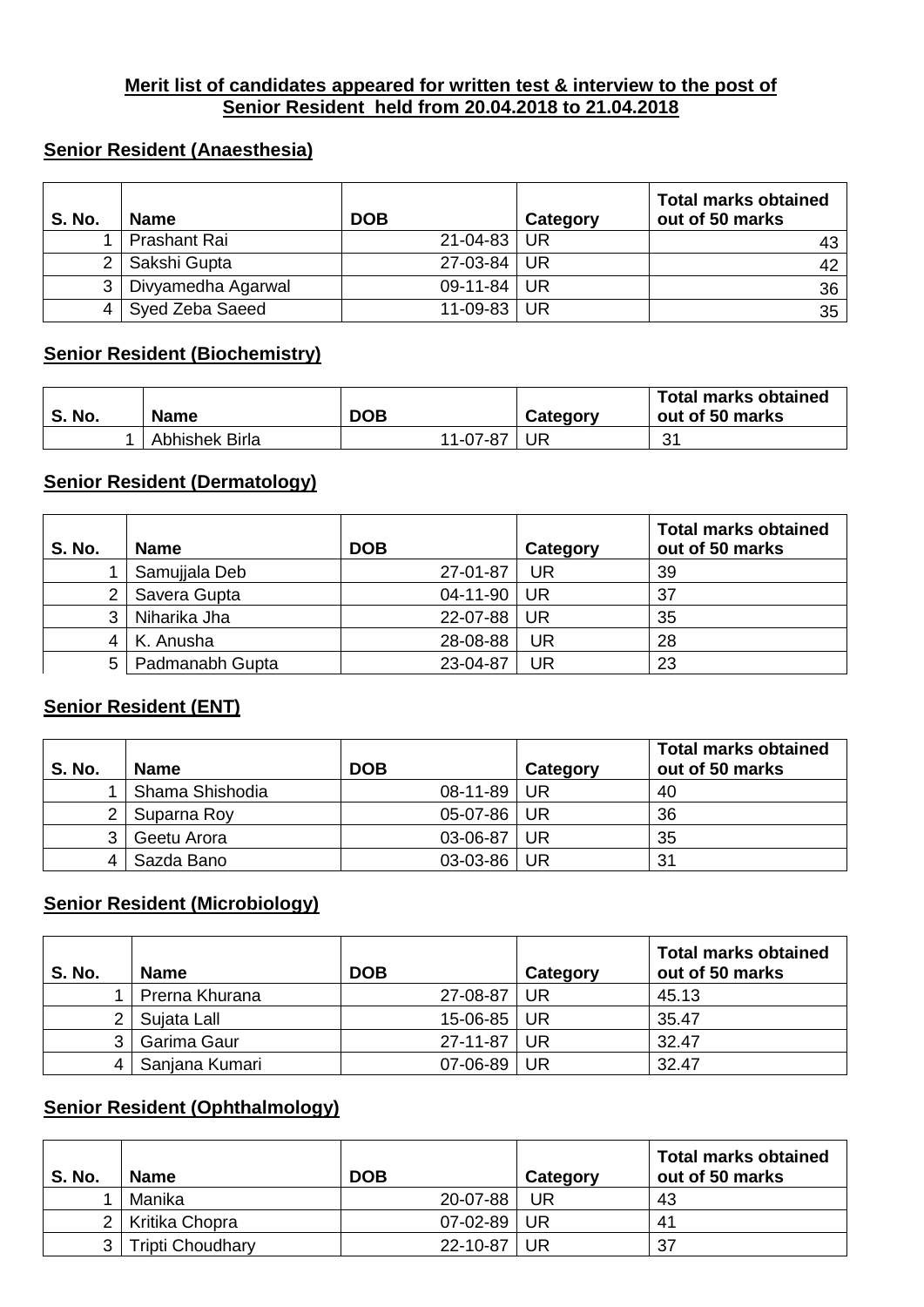### **Merit list of candidates appeared for written test & interview to the post of Senior Resident held from 20.04.2018 to 21.04.2018**

## **Senior Resident (Anaesthesia)**

| <b>S. No.</b> | <b>Name</b>        | <b>DOB</b>  | Category | <b>Total marks obtained</b><br>out of 50 marks |
|---------------|--------------------|-------------|----------|------------------------------------------------|
|               | Prashant Rai       | 21-04-83 UR |          |                                                |
|               | Sakshi Gupta       | 27-03-84 UR |          | 42                                             |
| 3             | Divyamedha Agarwal | 09-11-84 UR |          | 36                                             |
|               | Syed Zeba Saeed    | 11-09-83 UR |          | 35                                             |

### **Senior Resident (Biochemistry)**

| No.<br>S. | <b>Name</b>    | <b>DOB</b> | Category | <b>Total marks obtained</b><br>out of 50 marks |
|-----------|----------------|------------|----------|------------------------------------------------|
|           | Abhishek Birla | 11-07-87   | UR       | 31<br>ັບ                                       |

### **Senior Resident (Dermatology)**

| <b>S. No.</b> | <b>Name</b>         | <b>DOB</b>     | Category  | <b>Total marks obtained</b><br>out of 50 marks |
|---------------|---------------------|----------------|-----------|------------------------------------------------|
|               | Samujjala Deb       | 27-01-87       | <b>UR</b> | 39                                             |
| 2             | Savera Gupta        | $04 - 11 - 90$ | UR        | 37                                             |
| 3             | Niharika Jha        | 22-07-88       | UR        | 35                                             |
| 4             | K. Anusha           | 28-08-88       | UR        | 28                                             |
|               | 5   Padmanabh Gupta | 23-04-87       | UR        | 23                                             |

## **Senior Resident (ENT)**

| <b>S. No.</b>         | <b>Name</b>     | <b>DOB</b> | Category | <b>Total marks obtained</b><br>out of 50 marks |
|-----------------------|-----------------|------------|----------|------------------------------------------------|
|                       | Shama Shishodia | 08-11-89   | -UR      | 40                                             |
| $\mathbf{2}^{\prime}$ | Suparna Roy     | $05-07-86$ | UR       | 36                                             |
| 3                     | Geetu Arora     | 03-06-87   | UR       | 35                                             |
| 4                     | Sazda Bano      | 03-03-86   | UR       | 31                                             |

## **Senior Resident (Microbiology)**

| <b>S. No.</b> | <b>Name</b>    | <b>DOB</b>        | Category | <b>Total marks obtained</b><br>out of 50 marks |  |
|---------------|----------------|-------------------|----------|------------------------------------------------|--|
|               | Prerna Khurana | 27-08-87          | UR       | 45.13                                          |  |
|               | Sujata Lall    | $15 - 06 - 85$ UR |          | 35.47                                          |  |
|               | Garima Gaur    | 27-11-87 UR       |          | 32.47                                          |  |
|               | Sanjana Kumari | 07-06-89 UR       |          | 32.47                                          |  |

## **Senior Resident (Ophthalmology)**

| <b>S. No.</b>  | <b>Name</b>      | <b>DOB</b> | Category | <b>Total marks obtained</b><br>out of 50 marks |
|----------------|------------------|------------|----------|------------------------------------------------|
|                | Manika           | 20-07-88   | UR       | 43                                             |
| 2 <sub>1</sub> | Kritika Chopra   | 07-02-89   | UR       | 41                                             |
| 3,             | Tripti Choudhary | 22-10-87   | UR       | 37                                             |